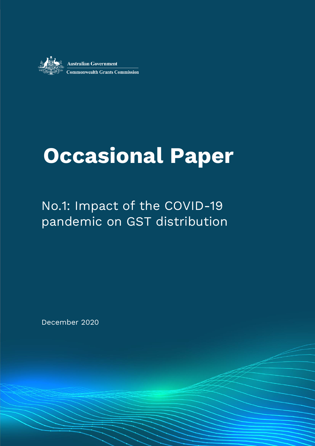

# **Occasional Paper**

## No.1: Impact of the COVID-19 pandemic on GST distribution

ww.chart Andrews.com December 2020

December 2020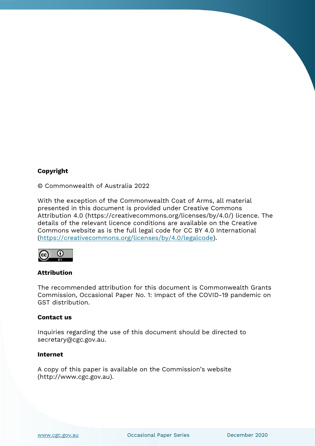#### **Copyright**

© Commonwealth of Australia 2022

With the exception of the Commonwealth Coat of Arms, all material presented in this document is provided under Creative Commons Attribution 4.0 (https://creativecommons.org/licenses/by/4.0/) licence. The details of the relevant licence conditions are available on the Creative Commons website as is the full legal code for CC BY 4.0 International [\(https://creativecommons.org/licenses/by/4.0/legalcode\)](https://creativecommons.org/licenses/by/4.0/legalcode).



#### **Attribution**

The recommended attribution for this document is Commonwealth Grants Commission, Occasional Paper No. 1: Impact of the COVID-19 pandemic on GST distribution.

#### **Contact us**

Inquiries regarding the use of this document should be directed to secretary@cgc.gov.au.

#### **Internet**

A copy of this paper is available on the Commission's website (http://www.cgc.gov.au).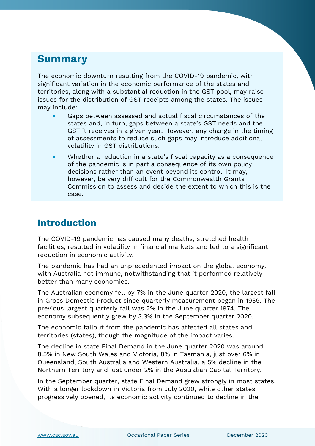## **Summary**

The economic downturn resulting from the COVID-19 pandemic, with significant variation in the economic performance of the states and territories, along with a substantial reduction in the GST pool, may raise issues for the distribution of GST receipts among the states. The issues may include:

- Gaps between assessed and actual fiscal circumstances of the states and, in turn, gaps between a state's GST needs and the GST it receives in a given year. However, any change in the timing of assessments to reduce such gaps may introduce additional volatility in GST distributions.
- Whether a reduction in a state's fiscal capacity as a consequence of the pandemic is in part a consequence of its own policy decisions rather than an event beyond its control. It may, however, be very difficult for the Commonwealth Grants Commission to assess and decide the extent to which this is the case.

### **Introduction**

The COVID-19 pandemic has caused many deaths, stretched health facilities, resulted in volatility in financial markets and led to a significant reduction in economic activity.

The pandemic has had an unprecedented impact on the global economy, with Australia not immune, notwithstanding that it performed relatively better than many economies.

The Australian economy fell by 7% in the June quarter 2020, the largest fall in Gross Domestic Product since quarterly measurement began in 1959. The previous largest quarterly fall was 2% in the June quarter 1974. The economy subsequently grew by 3.3% in the September quarter 2020.

The economic fallout from the pandemic has affected all states and territories (states), though the magnitude of the impact varies.

The decline in state Final Demand in the June quarter 2020 was around 8.5% in New South Wales and Victoria, 8% in Tasmania, just over 6% in Queensland, South Australia and Western Australia, a 5% decline in the Northern Territory and just under 2% in the Australian Capital Territory.

In the September quarter, state Final Demand grew strongly in most states. With a longer lockdown in Victoria from July 2020, while other states progressively opened, its economic activity continued to decline in the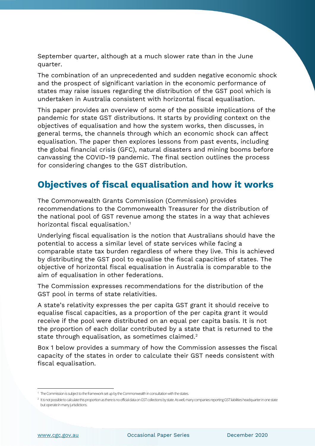September quarter, although at a much slower rate than in the June quarter.

The combination of an unprecedented and sudden negative economic shock and the prospect of significant variation in the economic performance of states may raise issues regarding the distribution of the GST pool which is undertaken in Australia consistent with horizontal fiscal equalisation.

This paper provides an overview of some of the possible implications of the pandemic for state GST distributions. It starts by providing context on the objectives of equalisation and how the system works, then discusses, in general terms, the channels through which an economic shock can affect equalisation. The paper then explores lessons from past events, including the global financial crisis (GFC), natural disasters and mining booms before canvassing the COVID-19 pandemic. The final section outlines the process for considering changes to the GST distribution.

## **Objectives of fiscal equalisation and how it works**

The Commonwealth Grants Commission (Commission) provides recommendations to the Commonwealth Treasurer for the distribution of the national pool of GST revenue among the states in a way that achieves horizontal fiscal equalisation.<sup>1</sup>

Underlying fiscal equalisation is the notion that Australians should have the potential to access a similar level of state services while facing a comparable state tax burden regardless of where they live. This is achieved by distributing the GST pool to equalise the fiscal capacities of states. The objective of horizontal fiscal equalisation in Australia is comparable to the aim of equalisation in other federations.

The Commission expresses recommendations for the distribution of the GST pool in terms of state relativities.

A state's relativity expresses the per capita GST grant it should receive to equalise fiscal capacities, as a proportion of the per capita grant it would receive if the pool were distributed on an equal per capita basis. It is not the proportion of each dollar contributed by a state that is returned to the state through equalisation, as sometimes claimed.<sup>2</sup>

Box 1 below provides a summary of how the Commission assesses the fiscal capacity of the states in order to calculate their GST needs consistent with fiscal equalisation.

<sup>&</sup>lt;sup>1</sup> The Commission is subject to the framework set up by the Commonwealth in consultation with the states.

 $^2\,$  It is not possible to calculate this proportion as there is no official data on GST collections by state. As well, many companies reporting GST liabilities headquarter in one state but operate in many jurisdictions.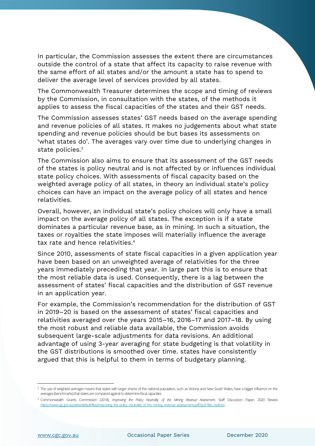In particular, the Commission assesses the extent there are circumstances outside the control of a state that affect its capacity to raise revenue with the same effort of all states and/or the amount a state has to spend to deliver the average level of services provided by all states.

The Commonwealth Treasurer determines the scope and timing of reviews by the Commission, in consultation with the states, of the methods it applies to assess the fiscal capacities of the states and their GST needs.

The Commission assesses states' GST needs based on the average spending and revenue policies of all states. It makes no judgements about what state spending and revenue policies should be but bases its assessments on 'what states do'. The averages vary over time due to underlying changes in state policies.<sup>3</sup>

The Commission also aims to ensure that its assessment of the GST needs of the states is policy neutral and is not affected by or influences individual state policy choices. With assessments of fiscal capacity based on the weighted average policy of all states, in theory an individual state's policy choices can have an impact on the average policy of all states and hence relativities.

Overall, however, an individual state's policy choices will only have a small impact on the average policy of all states. The exception is if a state dominates a particular revenue base, as in mining. In such a situation, the taxes or royalties the state imposes will materially influence the average tax rate and hence relativities.<sup>4</sup>

Since 2010, assessments of state fiscal capacities in a given application year have been based on an unweighted average of relativities for the three years immediately preceding that year. In large part this is to ensure that the most reliable data is used. Consequently, there is a lag between the assessment of states' fiscal capacities and the distribution of GST revenue in an application year.

For example, the Commission's recommendation for the distribution of GST in 2019–20 is based on the assessment of states' fiscal capacities and relativities averaged over the years 2015–16, 2016–17 and 2017–18. By using the most robust and reliable data available, the Commission avoids subsequent large-scale adjustments for data revisions. An additional advantage of using 3-year averaging for state budgeting is that volatility in the GST distributions is smoothed over time. states have consistently argued that this is helpful to them in terms of budgetary planning.

<sup>&</sup>lt;sup>3</sup> The use of weighted averages means that states with larger shares of the national population, such as Victoria and New South Wales, have a bigger influence on the averages (benchmarks) that states are compared against to determine fiscal capacities.

<sup>4</sup> Commonwealth Grants Commission (2018), *Improving the Policy Neutrality of the Mining Revenue Assessment*, Staff Discussion Paper, 2020 Review [https://www.cgc.gov.au/sites/default/files/improving\\_the\\_policy\\_neutrality\\_of\\_the\\_mining\\_revenue\\_assessment.pdf?acsf\\_files\\_redirect.](https://www.cgc.gov.au/sites/default/files/improving_the_policy_neutrality_of_the_mining_revenue_assessment.pdf?acsf_files_redirect)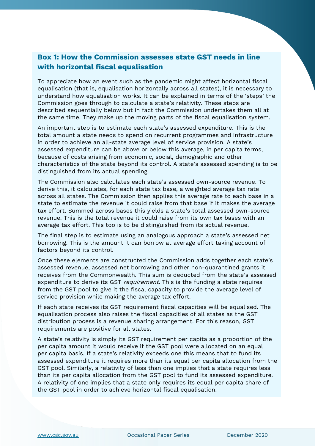#### **Box 1: How the Commission assesses state GST needs in line with horizontal fiscal equalisation**

To appreciate how an event such as the pandemic might affect horizontal fiscal equalisation (that is, equalisation horizontally across all states), it is necessary to understand how equalisation works. It can be explained in terms of the 'steps' the Commission goes through to calculate a state's relativity. These steps are described sequentially below but in fact the Commission undertakes them all at the same time. They make up the moving parts of the fiscal equalisation system.

An important step is to estimate each state's assessed expenditure. This is the total amount a state needs to spend on recurrent programmes and infrastructure in order to achieve an all-state average level of service provision. A state's assessed expenditure can be above or below this average, in per capita terms, because of costs arising from economic, social, demographic and other characteristics of the state beyond its control. A state's assessed spending is to be distinguished from its actual spending.

The Commission also calculates each state's assessed own-source revenue. To derive this, it calculates, for each state tax base, a weighted average tax rate across all states. The Commission then applies this average rate to each base in a state to estimate the revenue it could raise from that base if it makes the average tax effort. Summed across bases this yields a state's total assessed own-source revenue. This is the total revenue it could raise from its own tax bases with an average tax effort. This too is to be distinguished from its actual revenue.

The final step is to estimate using an analogous approach a state's assessed net borrowing. This is the amount it can borrow at average effort taking account of factors beyond its control.

Once these elements are constructed the Commission adds together each state's assessed revenue, assessed net borrowing and other non-quarantined grants it receives from the Commonwealth. This sum is deducted from the state's assessed expenditure to derive its GST *requirement*. This is the funding a state requires from the GST pool to give it the fiscal capacity to provide the average level of service provision while making the average tax effort.

If each state receives its GST requirement fiscal capacities will be equalised. The equalisation process also raises the fiscal capacities of all states as the GST distribution process is a revenue sharing arrangement. For this reason, GST requirements are positive for all states.

A state's relativity is simply its GST requirement per capita as a proportion of the per capita amount it would receive if the GST pool were allocated on an equal per capita basis. If a state's relativity exceeds one this means that to fund its assessed expenditure it requires more than its equal per capita allocation from the GST pool. Similarly, a relativity of less than one implies that a state requires less than its per capita allocation from the GST pool to fund its assessed expenditure. A relativity of one implies that a state only requires its equal per capita share of the GST pool in order to achieve horizontal fiscal equalisation.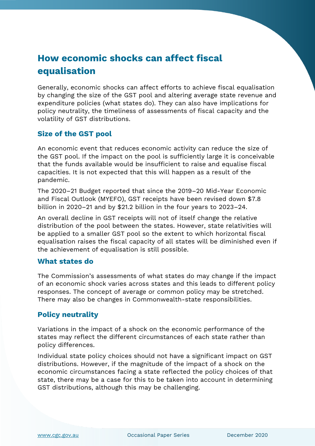## **How economic shocks can affect fiscal equalisation**

Generally, economic shocks can affect efforts to achieve fiscal equalisation by changing the size of the GST pool and altering average state revenue and expenditure policies (what states do). They can also have implications for policy neutrality, the timeliness of assessments of fiscal capacity and the volatility of GST distributions.

#### **Size of the GST pool**

An economic event that reduces economic activity can reduce the size of the GST pool. If the impact on the pool is sufficiently large it is conceivable that the funds available would be insufficient to raise and equalise fiscal capacities. It is not expected that this will happen as a result of the pandemic.

The 2020–21 Budget reported that since the 2019–20 Mid-Year Economic and Fiscal Outlook (MYEFO), GST receipts have been revised down \$7.8 billion in 2020–21 and by \$21.2 billion in the four years to 2023–24.

An overall decline in GST receipts will not of itself change the relative distribution of the pool between the states. However, state relativities will be applied to a smaller GST pool so the extent to which horizontal fiscal equalisation raises the fiscal capacity of all states will be diminished even if the achievement of equalisation is still possible.

#### **What states do**

The Commission's assessments of what states do may change if the impact of an economic shock varies across states and this leads to different policy responses. The concept of average or common policy may be stretched. There may also be changes in Commonwealth-state responsibilities.

#### **Policy neutrality**

Variations in the impact of a shock on the economic performance of the states may reflect the different circumstances of each state rather than policy differences.

Individual state policy choices should not have a significant impact on GST distributions. However, if the magnitude of the impact of a shock on the economic circumstances facing a state reflected the policy choices of that state, there may be a case for this to be taken into account in determining GST distributions, although this may be challenging.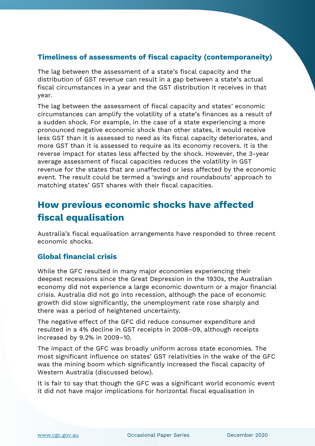#### **Timeliness of assessments of fiscal capacity (contemporaneity)**

The lag between the assessment of a state's fiscal capacity and the distribution of GST revenue can result in a gap between a state's actual fiscal circumstances in a year and the GST distribution it receives in that year.

The lag between the assessment of fiscal capacity and states' economic circumstances can amplify the volatility of a state's finances as a result of a sudden shock. For example, in the case of a state experiencing a more pronounced negative economic shock than other states, it would receive less GST than it is assessed to need as its fiscal capacity deteriorates, and more GST than it is assessed to require as its economy recovers. It is the reverse impact for states less affected by the shock. However, the 3-year average assessment of fiscal capacities reduces the volatility in GST revenue for the states that are unaffected or less affected by the economic event. The result could be termed a 'swings and roundabouts' approach to matching states' GST shares with their fiscal capacities.

## **How previous economic shocks have affected fiscal equalisation**

Australia's fiscal equalisation arrangements have responded to three recent economic shocks.

#### **Global financial crisis**

While the GFC resulted in many major economies experiencing their deepest recessions since the Great Depression in the 1930s, the Australian economy did not experience a large economic downturn or a major financial crisis. Australia did not go into recession, although the pace of economic growth did slow significantly, the unemployment rate rose sharply and there was a period of heightened uncertainty.

The negative effect of the GFC did reduce consumer expenditure and resulted in a 4% decline in GST receipts in 2008–09, although receipts increased by 9.2% in 2009–10.

The impact of the GFC was broadly uniform across state economies. The most significant influence on states' GST relativities in the wake of the GFC was the mining boom which significantly increased the fiscal capacity of Western Australia (discussed below).

It is fair to say that though the GFC was a significant world economic event it did not have major implications for horizontal fiscal equalisation in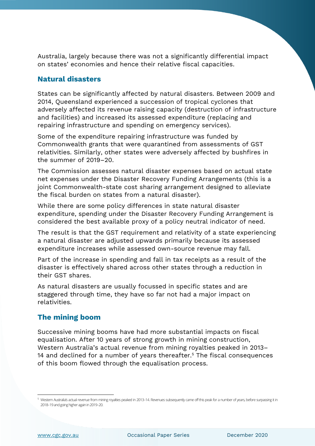Australia, largely because there was not a significantly differential impact on states' economies and hence their relative fiscal capacities.

#### **Natural disasters**

States can be significantly affected by natural disasters. Between 2009 and 2014, Queensland experienced a succession of tropical cyclones that adversely affected its revenue raising capacity (destruction of infrastructure and facilities) and increased its assessed expenditure (replacing and repairing infrastructure and spending on emergency services).

Some of the expenditure repairing infrastructure was funded by Commonwealth grants that were quarantined from assessments of GST relativities. Similarly, other states were adversely affected by bushfires in the summer of 2019–20.

The Commission assesses natural disaster expenses based on actual state net expenses under the Disaster Recovery Funding Arrangements (this is a joint Commonwealth-state cost sharing arrangement designed to alleviate the fiscal burden on states from a natural disaster).

While there are some policy differences in state natural disaster expenditure, spending under the Disaster Recovery Funding Arrangement is considered the best available proxy of a policy neutral indicator of need.

The result is that the GST requirement and relativity of a state experiencing a natural disaster are adjusted upwards primarily because its assessed expenditure increases while assessed own-source revenue may fall.

Part of the increase in spending and fall in tax receipts as a result of the disaster is effectively shared across other states through a reduction in their GST shares.

As natural disasters are usually focussed in specific states and are staggered through time, they have so far not had a major impact on relativities.

#### **The mining boom**

Successive mining booms have had more substantial impacts on fiscal equalisation. After 10 years of strong growth in mining construction, Western Australia's actual revenue from mining royalties peaked in 2013– 14 and declined for a number of years thereafter.<sup>5</sup> The fiscal consequences of this boom flowed through the equalisation process.

<sup>&</sup>lt;sup>5</sup> Western Australia's actual revenue from mining royalties peaked in 2013-14. Revenues subsequently came off this peak for a number of years, before surpassing it in 2018–19 and going higher again in 2019–20.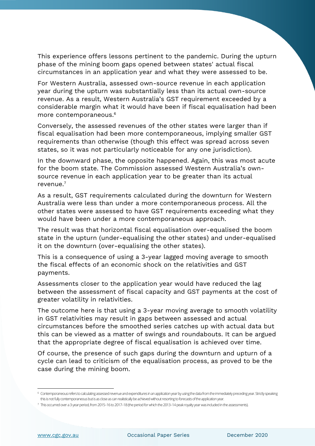This experience offers lessons pertinent to the pandemic. During the upturn phase of the mining boom gaps opened between states' actual fiscal circumstances in an application year and what they were assessed to be.

For Western Australia, assessed own-source revenue in each application year during the upturn was substantially less than its actual own-source revenue. As a result, Western Australia's GST requirement exceeded by a considerable margin what it would have been if fiscal equalisation had been more contemporaneous.<sup>6</sup>

Conversely, the assessed revenues of the other states were larger than if fiscal equalisation had been more contemporaneous, implying smaller GST requirements than otherwise (though this effect was spread across seven states, so it was not particularly noticeable for any one jurisdiction).

In the downward phase, the opposite happened. Again, this was most acute for the boom state. The Commission assessed Western Australia's ownsource revenue in each application year to be greater than its actual revenue.<sup>7</sup>

As a result, GST requirements calculated during the downturn for Western Australia were less than under a more contemporaneous process. All the other states were assessed to have GST requirements exceeding what they would have been under a more contemporaneous approach.

The result was that horizontal fiscal equalisation over-equalised the boom state in the upturn (under-equalising the other states) and under-equalised it on the downturn (over-equalising the other states).

This is a consequence of using a 3-year lagged moving average to smooth the fiscal effects of an economic shock on the relativities and GST payments.

Assessments closer to the application year would have reduced the lag between the assessment of fiscal capacity and GST payments at the cost of greater volatility in relativities.

The outcome here is that using a 3-year moving average to smooth volatility in GST relativities may result in gaps between assessed and actual circumstances before the smoothed series catches up with actual data but this can be viewed as a matter of swings and roundabouts. It can be argued that the appropriate degree of fiscal equalisation is achieved over time.

Of course, the presence of such gaps during the downturn and upturn of a cycle can lead to criticism of the equalisation process, as proved to be the case during the mining boom.

<sup>6</sup> Contemporaneous refers to calculating assessed revenue and expenditures in an application year by using the data from the immediately preceding year. Strictly speaking this is not fully contemporaneous but is as close as can realistically be achieved without resorting to forecasts of the application year.

<sup>7</sup> This occurred over a 3-year period, from 2015–16 to 2017–18 (the period for which the 2013–14 peak royalty year was included inthe assessments).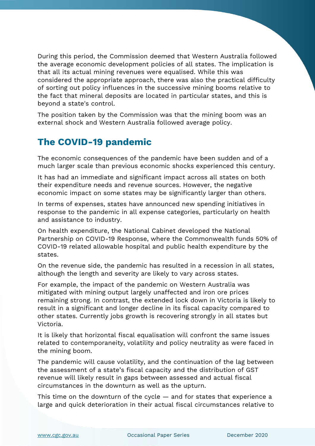During this period, the Commission deemed that Western Australia followed the average economic development policies of all states. The implication is that all its actual mining revenues were equalised. While this was considered the appropriate approach, there was also the practical difficulty of sorting out policy influences in the successive mining booms relative to the fact that mineral deposits are located in particular states, and this is beyond a state's control.

The position taken by the Commission was that the mining boom was an external shock and Western Australia followed average policy.

## **The COVID-19 pandemic**

The economic consequences of the pandemic have been sudden and of a much larger scale than previous economic shocks experienced this century.

It has had an immediate and significant impact across all states on both their expenditure needs and revenue sources. However, the negative economic impact on some states may be significantly larger than others.

In terms of expenses, states have announced new spending initiatives in response to the pandemic in all expense categories, particularly on health and assistance to industry.

On health expenditure, the National Cabinet developed the National Partnership on COVID-19 Response, where the Commonwealth funds 50% of COVID-19 related allowable hospital and public health expenditure by the states.

On the revenue side, the pandemic has resulted in a recession in all states, although the length and severity are likely to vary across states.

For example, the impact of the pandemic on Western Australia was mitigated with mining output largely unaffected and iron ore prices remaining strong. In contrast, the extended lock down in Victoria is likely to result in a significant and longer decline in its fiscal capacity compared to other states. Currently jobs growth is recovering strongly in all states but Victoria.

It is likely that horizontal fiscal equalisation will confront the same issues related to contemporaneity, volatility and policy neutrality as were faced in the mining boom.

The pandemic will cause volatility, and the continuation of the lag between the assessment of a state's fiscal capacity and the distribution of GST revenue will likely result in gaps between assessed and actual fiscal circumstances in the downturn as well as the upturn.

This time on the downturn of the cycle — and for states that experience a large and quick deterioration in their actual fiscal circumstances relative to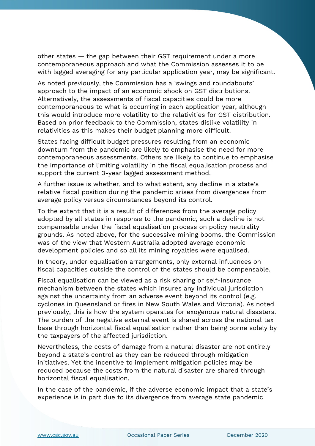other states — the gap between their GST requirement under a more contemporaneous approach and what the Commission assesses it to be with lagged averaging for any particular application year, may be significant.

As noted previously, the Commission has a 'swings and roundabouts' approach to the impact of an economic shock on GST distributions. Alternatively, the assessments of fiscal capacities could be more contemporaneous to what is occurring in each application year, although this would introduce more volatility to the relativities for GST distribution. Based on prior feedback to the Commission, states dislike volatility in relativities as this makes their budget planning more difficult.

States facing difficult budget pressures resulting from an economic downturn from the pandemic are likely to emphasise the need for more contemporaneous assessments. Others are likely to continue to emphasise the importance of limiting volatility in the fiscal equalisation process and support the current 3-year lagged assessment method.

A further issue is whether, and to what extent, any decline in a state's relative fiscal position during the pandemic arises from divergences from average policy versus circumstances beyond its control.

To the extent that it is a result of differences from the average policy adopted by all states in response to the pandemic, such a decline is not compensable under the fiscal equalisation process on policy neutrality grounds. As noted above, for the successive mining booms, the Commission was of the view that Western Australia adopted average economic development policies and so all its mining royalties were equalised.

In theory, under equalisation arrangements, only external influences on fiscal capacities outside the control of the states should be compensable.

Fiscal equalisation can be viewed as a risk sharing or self-insurance mechanism between the states which insures any individual jurisdiction against the uncertainty from an adverse event beyond its control (e.g. cyclones in Queensland or fires in New South Wales and Victoria). As noted previously, this is how the system operates for exogenous natural disasters. The burden of the negative external event is shared across the national tax base through horizontal fiscal equalisation rather than being borne solely by the taxpayers of the affected jurisdiction.

Nevertheless, the costs of damage from a natural disaster are not entirely beyond a state's control as they can be reduced through mitigation initiatives. Yet the incentive to implement mitigation policies may be reduced because the costs from the natural disaster are shared through horizontal fiscal equalisation.

In the case of the pandemic, if the adverse economic impact that a state's experience is in part due to its divergence from average state pandemic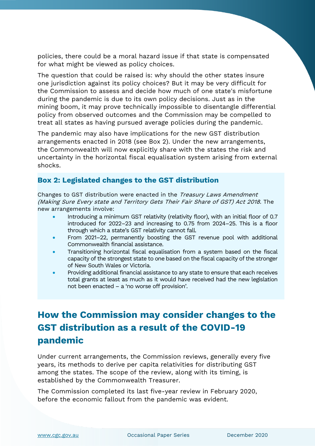policies, there could be a moral hazard issue if that state is compensated for what might be viewed as policy choices.

The question that could be raised is: why should the other states insure one jurisdiction against its policy choices? But it may be very difficult for the Commission to assess and decide how much of one state's misfortune during the pandemic is due to its own policy decisions. Just as in the mining boom, it may prove technically impossible to disentangle differential policy from observed outcomes and the Commission may be compelled to treat all states as having pursued average policies during the pandemic.

The pandemic may also have implications for the new GST distribution arrangements enacted in 2018 (see Box 2). Under the new arrangements, the Commonwealth will now explicitly share with the states the risk and uncertainty in the horizontal fiscal equalisation system arising from external shocks.

#### **Box 2: Legislated changes to the GST distribution**

Changes to GST distribution were enacted in the Treasury Laws Amendment (Making Sure Every state and Territory Gets Their Fair Share of GST) Act 2018. The new arrangements involve:

- Introducing a minimum GST relativity (relativity floor), with an initial floor of 0.7 introduced for 2022–23 and increasing to 0.75 from 2024–25. This is a floor through which a state's GST relativity cannot fall.
- From 2021–22, permanently boosting the GST revenue pool with additional Commonwealth financial assistance.
- Transitioning horizontal fiscal equalisation from a system based on the fiscal capacity of the strongest state to one based on the fiscal capacity of the stronger of New South Wales or Victoria.
- Providing additional financial assistance to any state to ensure that each receives total grants at least as much as it would have received had the new legislation not been enacted – a 'no worse off provision'.

## **How the Commission may consider changes to the GST distribution as a result of the COVID-19 pandemic**

Under current arrangements, the Commission reviews, generally every five years, its methods to derive per capita relativities for distributing GST among the states. The scope of the review, along with its timing, is established by the Commonwealth Treasurer.

The Commission completed its last five-year review in February 2020, before the economic fallout from the pandemic was evident.